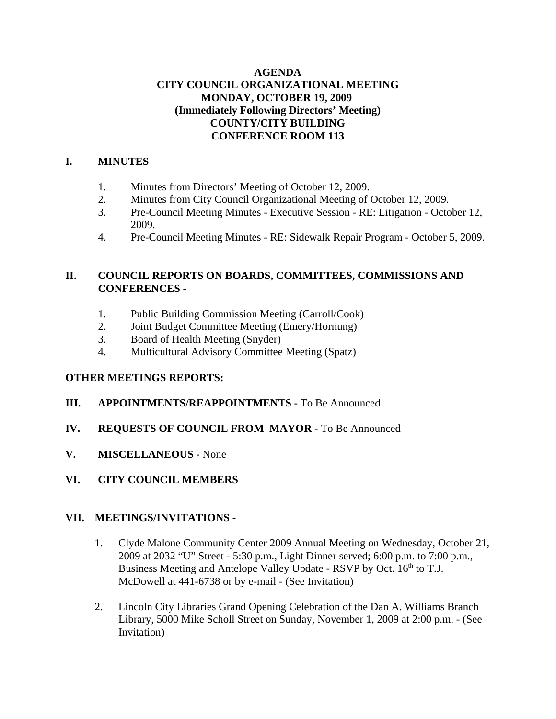## **AGENDA CITY COUNCIL ORGANIZATIONAL MEETING MONDAY, OCTOBER 19, 2009 (Immediately Following Directors' Meeting) COUNTY/CITY BUILDING CONFERENCE ROOM 113**

## **I. MINUTES**

- 1. Minutes from Directors' Meeting of October 12, 2009.
- 2. Minutes from City Council Organizational Meeting of October 12, 2009.
- 3. Pre-Council Meeting Minutes Executive Session RE: Litigation October 12, 2009.
- 4. Pre-Council Meeting Minutes RE: Sidewalk Repair Program October 5, 2009.

## **II. COUNCIL REPORTS ON BOARDS, COMMITTEES, COMMISSIONS AND CONFERENCES** -

- 1. Public Building Commission Meeting (Carroll/Cook)
- 2. Joint Budget Committee Meeting (Emery/Hornung)
- 3. Board of Health Meeting (Snyder)
- 4. Multicultural Advisory Committee Meeting (Spatz)

## **OTHER MEETINGS REPORTS:**

- **III. APPOINTMENTS/REAPPOINTMENTS -** To Be Announced
- **IV. REQUESTS OF COUNCIL FROM MAYOR -** To Be Announced
- **V. MISCELLANEOUS -** None
- **VI. CITY COUNCIL MEMBERS**

#### **VII. MEETINGS/INVITATIONS -**

- 1. Clyde Malone Community Center 2009 Annual Meeting on Wednesday, October 21, 2009 at 2032 "U" Street - 5:30 p.m., Light Dinner served; 6:00 p.m. to 7:00 p.m., Business Meeting and Antelope Valley Update - RSVP by Oct. 16<sup>th</sup> to T.J. McDowell at 441-6738 or by e-mail - (See Invitation)
- 2. Lincoln City Libraries Grand Opening Celebration of the Dan A. Williams Branch Library, 5000 Mike Scholl Street on Sunday, November 1, 2009 at 2:00 p.m. - (See Invitation)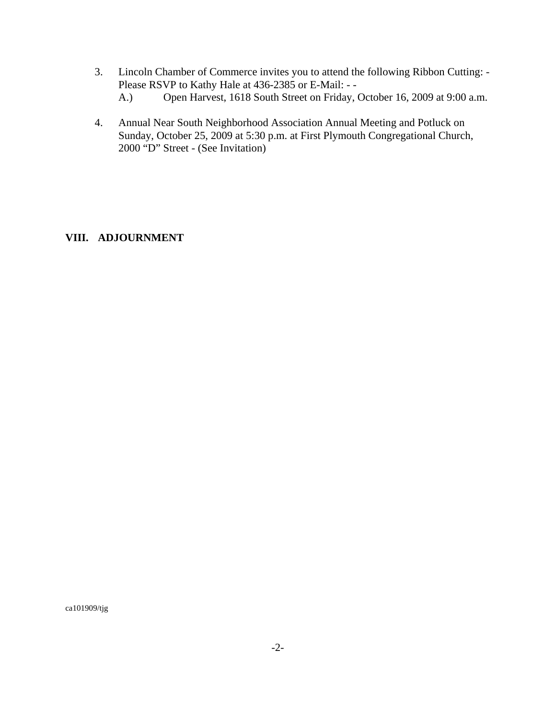- 3. Lincoln Chamber of Commerce invites you to attend the following Ribbon Cutting: Please RSVP to Kathy Hale at 436-2385 or E-Mail: - -
	- A.) Open Harvest, 1618 South Street on Friday, October 16, 2009 at 9:00 a.m.
- 4. Annual Near South Neighborhood Association Annual Meeting and Potluck on Sunday, October 25, 2009 at 5:30 p.m. at First Plymouth Congregational Church, 2000 "D" Street - (See Invitation)

#### **VIII. ADJOURNMENT**

ca101909/tjg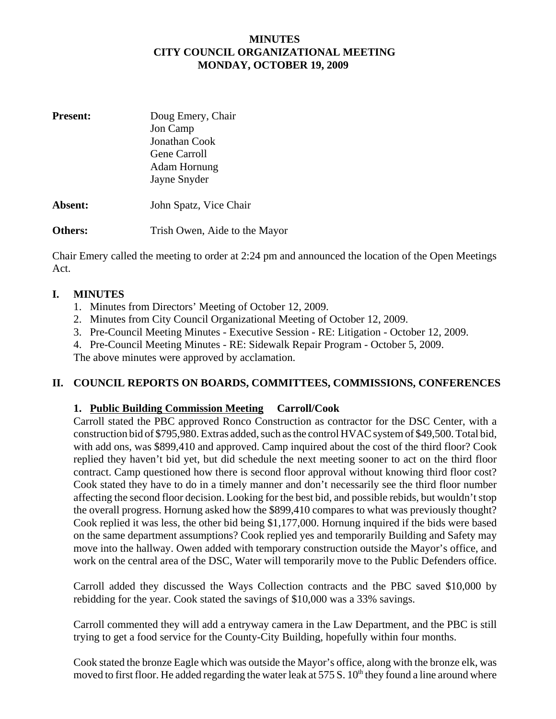## **MINUTES CITY COUNCIL ORGANIZATIONAL MEETING MONDAY, OCTOBER 19, 2009**

| <b>Present:</b> | Doug Emery, Chair<br>Jon Camp<br>Jonathan Cook<br>Gene Carroll<br>Adam Hornung<br>Jayne Snyder |  |
|-----------------|------------------------------------------------------------------------------------------------|--|
| Absent:         | John Spatz, Vice Chair                                                                         |  |
| Others:         | Trish Owen, Aide to the Mayor                                                                  |  |

Chair Emery called the meeting to order at 2:24 pm and announced the location of the Open Meetings Act.

## **I. MINUTES**

- 1. Minutes from Directors' Meeting of October 12, 2009.
- 2. Minutes from City Council Organizational Meeting of October 12, 2009.
- 3. Pre-Council Meeting Minutes Executive Session RE: Litigation October 12, 2009.
- 4. Pre-Council Meeting Minutes RE: Sidewalk Repair Program October 5, 2009.

The above minutes were approved by acclamation.

## **II. COUNCIL REPORTS ON BOARDS, COMMITTEES, COMMISSIONS, CONFERENCES**

## **1. Public Building Commission Meeting Carroll/Cook**

Carroll stated the PBC approved Ronco Construction as contractor for the DSC Center, with a construction bid of \$795,980. Extras added, such as the control HVAC system of \$49,500. Total bid, with add ons, was \$899,410 and approved. Camp inquired about the cost of the third floor? Cook replied they haven't bid yet, but did schedule the next meeting sooner to act on the third floor contract. Camp questioned how there is second floor approval without knowing third floor cost? Cook stated they have to do in a timely manner and don't necessarily see the third floor number affecting the second floor decision. Looking for the best bid, and possible rebids, but wouldn't stop the overall progress. Hornung asked how the \$899,410 compares to what was previously thought? Cook replied it was less, the other bid being \$1,177,000. Hornung inquired if the bids were based on the same department assumptions? Cook replied yes and temporarily Building and Safety may move into the hallway. Owen added with temporary construction outside the Mayor's office, and work on the central area of the DSC, Water will temporarily move to the Public Defenders office.

Carroll added they discussed the Ways Collection contracts and the PBC saved \$10,000 by rebidding for the year. Cook stated the savings of \$10,000 was a 33% savings.

Carroll commented they will add a entryway camera in the Law Department, and the PBC is still trying to get a food service for the County-City Building, hopefully within four months.

Cook stated the bronze Eagle which was outside the Mayor's office, along with the bronze elk, was moved to first floor. He added regarding the water leak at 575 S.  $10<sup>th</sup>$  they found a line around where